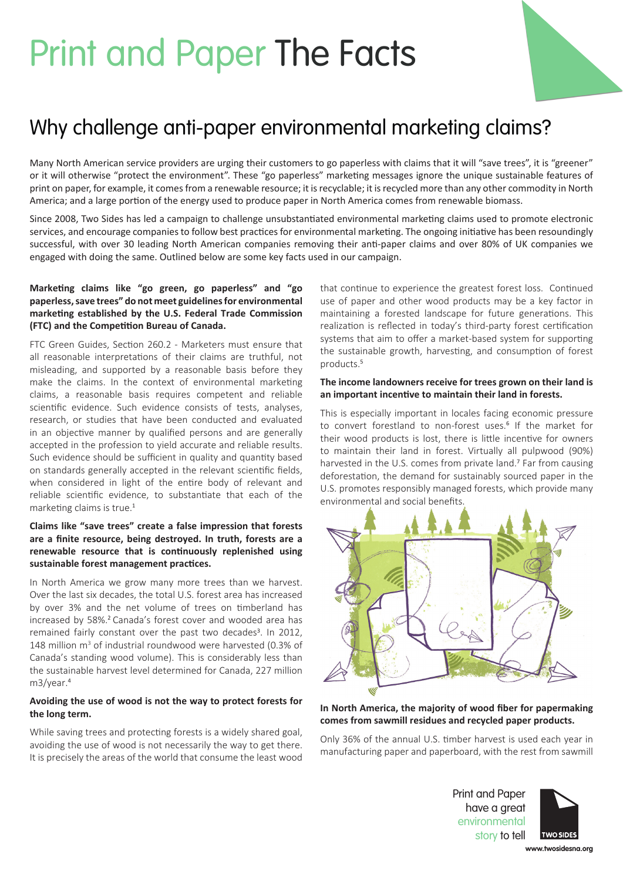# Print and Paper The Facts



Many North American service providers are urging their customers to go paperless with claims that it will "save trees", it is "greener" or it will otherwise "protect the environment". These "go paperless" marketing messages ignore the unique sustainable features of print on paper, for example, it comes from a renewable resource; it is recyclable; it is recycled more than any other commodity in North America; and a large portion of the energy used to produce paper in North America comes from renewable biomass.

Since 2008, Two Sides has led a campaign to challenge unsubstantiated environmental marketing claims used to promote electronic services, and encourage companies to follow best practices for environmental marketing. The ongoing initiative has been resoundingly successful, with over 30 leading North American companies removing their anti-paper claims and over 80% of UK companies we engaged with doing the same. Outlined below are some key facts used in our campaign.

## **Marketing claims like "go green, go paperless" and "go paperless, save trees" do not meet guidelines for environmental marketing established by the U.S. Federal Trade Commission (FTC) and the Competition Bureau of Canada.**

FTC Green Guides, Section 260.2 - Marketers must ensure that all reasonable interpretations of their claims are truthful, not misleading, and supported by a reasonable basis before they make the claims. In the context of environmental marketing claims, a reasonable basis requires competent and reliable scientific evidence. Such evidence consists of tests, analyses, research, or studies that have been conducted and evaluated in an objective manner by qualified persons and are generally accepted in the profession to yield accurate and reliable results. Such evidence should be sufficient in quality and quantity based on standards generally accepted in the relevant scientific fields, when considered in light of the entire body of relevant and reliable scientific evidence, to substantiate that each of the marketing claims is true.<sup>1</sup>

## **Claims like "save trees" create a false impression that forests are a finite resource, being destroyed. In truth, forests are a renewable resource that is continuously replenished using sustainable forest management practices.**

In North America we grow many more trees than we harvest. Over the last six decades, the total U.S. forest area has increased by over 3% and the net volume of trees on timberland has increased by 58%.<sup>2</sup> Canada's forest cover and wooded area has remained fairly constant over the past two decades<sup>3</sup>. In 2012, 148 million m<sup>3</sup> of industrial roundwood were harvested (0.3% of Canada's standing wood volume). This is considerably less than the sustainable harvest level determined for Canada, 227 million m3/year.<sup>4</sup>

### **Avoiding the use of wood is not the way to protect forests for the long term.**

While saving trees and protecting forests is a widely shared goal, avoiding the use of wood is not necessarily the way to get there. It is precisely the areas of the world that consume the least wood that continue to experience the greatest forest loss. Continued use of paper and other wood products may be a key factor in maintaining a forested landscape for future generations. This realization is reflected in today's third-party forest certification systems that aim to offer a market-based system for supporting the sustainable growth, harvesting, and consumption of forest products.<sup>5</sup>

### **The income landowners receive for trees grown on their land is an important incentive to maintain their land in forests.**

This is especially important in locales facing economic pressure to convert forestland to non-forest uses.<sup>6</sup> If the market for their wood products is lost, there is little incentive for owners to maintain their land in forest. Virtually all pulpwood (90%) harvested in the U.S. comes from private land.<sup>7</sup> Far from causing deforestation, the demand for sustainably sourced paper in the U.S. promotes responsibly managed forests, which provide many environmental and social benefits.



**In North America, the majority of wood fiber for papermaking comes from sawmill residues and recycled paper products.** 

Only 36% of the annual U.S. timber harvest is used each year in manufacturing paper and paperboard, with the rest from sawmill

> Print and Paper have a great environmental story to tell